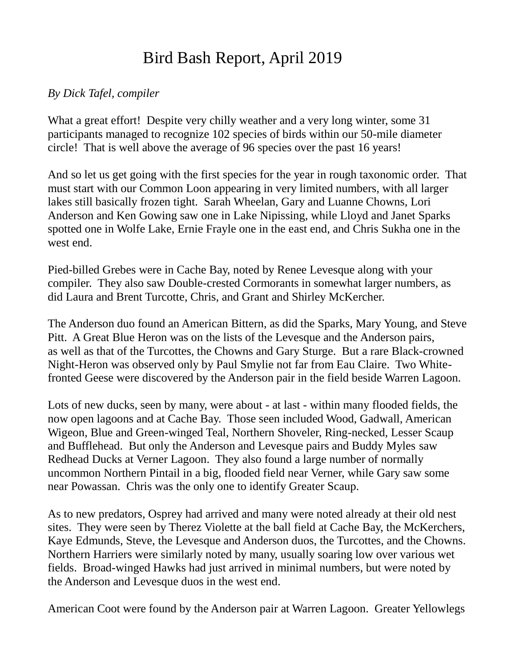## Bird Bash Report, April 2019

## *By Dick Tafel, compiler*

What a great effort! Despite very chilly weather and a very long winter, some 31 participants managed to recognize 102 species of birds within our 50-mile diameter circle! That is well above the average of 96 species over the past 16 years!

And so let us get going with the first species for the year in rough taxonomic order. That must start with our Common Loon appearing in very limited numbers, with all larger lakes still basically frozen tight. Sarah Wheelan, Gary and Luanne Chowns, Lori Anderson and Ken Gowing saw one in Lake Nipissing, while Lloyd and Janet Sparks spotted one in Wolfe Lake, Ernie Frayle one in the east end, and Chris Sukha one in the west end.

Pied-billed Grebes were in Cache Bay, noted by Renee Levesque along with your compiler. They also saw Double-crested Cormorants in somewhat larger numbers, as did Laura and Brent Turcotte, Chris, and Grant and Shirley McKercher.

The Anderson duo found an American Bittern, as did the Sparks, Mary Young, and Steve Pitt. A Great Blue Heron was on the lists of the Levesque and the Anderson pairs, as well as that of the Turcottes, the Chowns and Gary Sturge. But a rare Black-crowned Night-Heron was observed only by Paul Smylie not far from Eau Claire. Two Whitefronted Geese were discovered by the Anderson pair in the field beside Warren Lagoon.

Lots of new ducks, seen by many, were about - at last - within many flooded fields, the now open lagoons and at Cache Bay. Those seen included Wood, Gadwall, American Wigeon, Blue and Green-winged Teal, Northern Shoveler, Ring-necked, Lesser Scaup and Bufflehead. But only the Anderson and Levesque pairs and Buddy Myles saw Redhead Ducks at Verner Lagoon. They also found a large number of normally uncommon Northern Pintail in a big, flooded field near Verner, while Gary saw some near Powassan. Chris was the only one to identify Greater Scaup.

As to new predators, Osprey had arrived and many were noted already at their old nest sites. They were seen by Therez Violette at the ball field at Cache Bay, the McKerchers, Kaye Edmunds, Steve, the Levesque and Anderson duos, the Turcottes, and the Chowns. Northern Harriers were similarly noted by many, usually soaring low over various wet fields. Broad-winged Hawks had just arrived in minimal numbers, but were noted by the Anderson and Levesque duos in the west end.

American Coot were found by the Anderson pair at Warren Lagoon. Greater Yellowlegs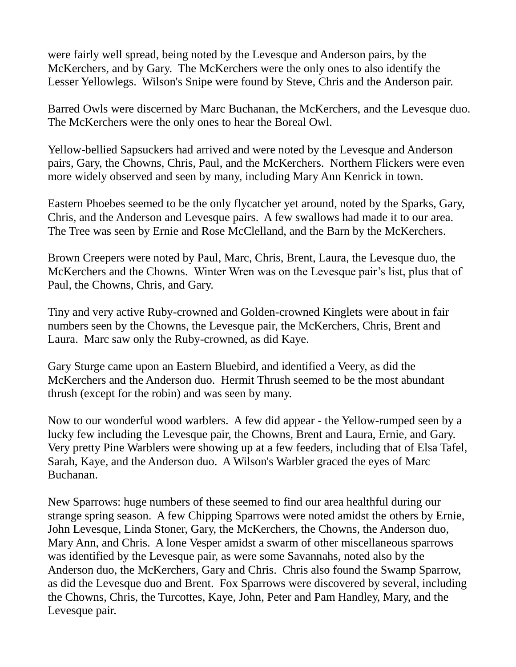were fairly well spread, being noted by the Levesque and Anderson pairs, by the McKerchers, and by Gary. The McKerchers were the only ones to also identify the Lesser Yellowlegs. Wilson's Snipe were found by Steve, Chris and the Anderson pair.

Barred Owls were discerned by Marc Buchanan, the McKerchers, and the Levesque duo. The McKerchers were the only ones to hear the Boreal Owl.

Yellow-bellied Sapsuckers had arrived and were noted by the Levesque and Anderson pairs, Gary, the Chowns, Chris, Paul, and the McKerchers. Northern Flickers were even more widely observed and seen by many, including Mary Ann Kenrick in town.

Eastern Phoebes seemed to be the only flycatcher yet around, noted by the Sparks, Gary, Chris, and the Anderson and Levesque pairs. A few swallows had made it to our area. The Tree was seen by Ernie and Rose McClelland, and the Barn by the McKerchers.

Brown Creepers were noted by Paul, Marc, Chris, Brent, Laura, the Levesque duo, the McKerchers and the Chowns. Winter Wren was on the Levesque pair's list, plus that of Paul, the Chowns, Chris, and Gary.

Tiny and very active Ruby-crowned and Golden-crowned Kinglets were about in fair numbers seen by the Chowns, the Levesque pair, the McKerchers, Chris, Brent and Laura. Marc saw only the Ruby-crowned, as did Kaye.

Gary Sturge came upon an Eastern Bluebird, and identified a Veery, as did the McKerchers and the Anderson duo. Hermit Thrush seemed to be the most abundant thrush (except for the robin) and was seen by many.

Now to our wonderful wood warblers. A few did appear - the Yellow-rumped seen by a lucky few including the Levesque pair, the Chowns, Brent and Laura, Ernie, and Gary. Very pretty Pine Warblers were showing up at a few feeders, including that of Elsa Tafel, Sarah, Kaye, and the Anderson duo. A Wilson's Warbler graced the eyes of Marc Buchanan.

New Sparrows: huge numbers of these seemed to find our area healthful during our strange spring season. A few Chipping Sparrows were noted amidst the others by Ernie, John Levesque, Linda Stoner, Gary, the McKerchers, the Chowns, the Anderson duo, Mary Ann, and Chris. A lone Vesper amidst a swarm of other miscellaneous sparrows was identified by the Levesque pair, as were some Savannahs, noted also by the Anderson duo, the McKerchers, Gary and Chris. Chris also found the Swamp Sparrow, as did the Levesque duo and Brent. Fox Sparrows were discovered by several, including the Chowns, Chris, the Turcottes, Kaye, John, Peter and Pam Handley, Mary, and the Levesque pair.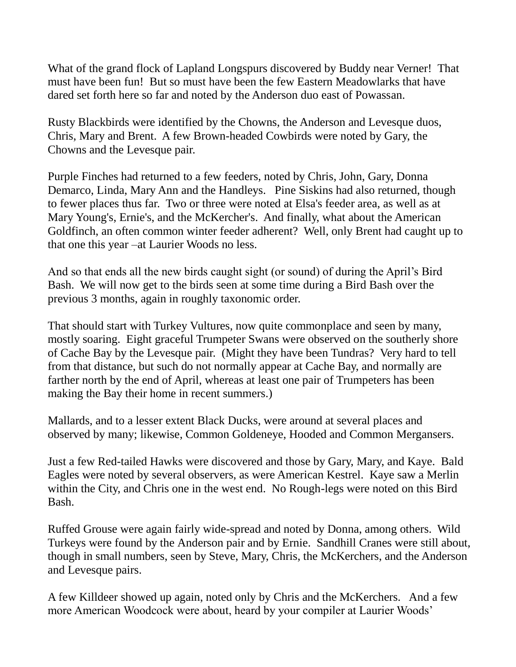What of the grand flock of Lapland Longspurs discovered by Buddy near Verner! That must have been fun! But so must have been the few Eastern Meadowlarks that have dared set forth here so far and noted by the Anderson duo east of Powassan.

Rusty Blackbirds were identified by the Chowns, the Anderson and Levesque duos, Chris, Mary and Brent. A few Brown-headed Cowbirds were noted by Gary, the Chowns and the Levesque pair.

Purple Finches had returned to a few feeders, noted by Chris, John, Gary, Donna Demarco, Linda, Mary Ann and the Handleys. Pine Siskins had also returned, though to fewer places thus far. Two or three were noted at Elsa's feeder area, as well as at Mary Young's, Ernie's, and the McKercher's. And finally, what about the American Goldfinch, an often common winter feeder adherent? Well, only Brent had caught up to that one this year –at Laurier Woods no less.

And so that ends all the new birds caught sight (or sound) of during the April's Bird Bash. We will now get to the birds seen at some time during a Bird Bash over the previous 3 months, again in roughly taxonomic order.

That should start with Turkey Vultures, now quite commonplace and seen by many, mostly soaring. Eight graceful Trumpeter Swans were observed on the southerly shore of Cache Bay by the Levesque pair. (Might they have been Tundras? Very hard to tell from that distance, but such do not normally appear at Cache Bay, and normally are farther north by the end of April, whereas at least one pair of Trumpeters has been making the Bay their home in recent summers.)

Mallards, and to a lesser extent Black Ducks, were around at several places and observed by many; likewise, Common Goldeneye, Hooded and Common Mergansers.

Just a few Red-tailed Hawks were discovered and those by Gary, Mary, and Kaye. Bald Eagles were noted by several observers, as were American Kestrel. Kaye saw a Merlin within the City, and Chris one in the west end. No Rough-legs were noted on this Bird Bash.

Ruffed Grouse were again fairly wide-spread and noted by Donna, among others. Wild Turkeys were found by the Anderson pair and by Ernie. Sandhill Cranes were still about, though in small numbers, seen by Steve, Mary, Chris, the McKerchers, and the Anderson and Levesque pairs.

A few Killdeer showed up again, noted only by Chris and the McKerchers. And a few more American Woodcock were about, heard by your compiler at Laurier Woods'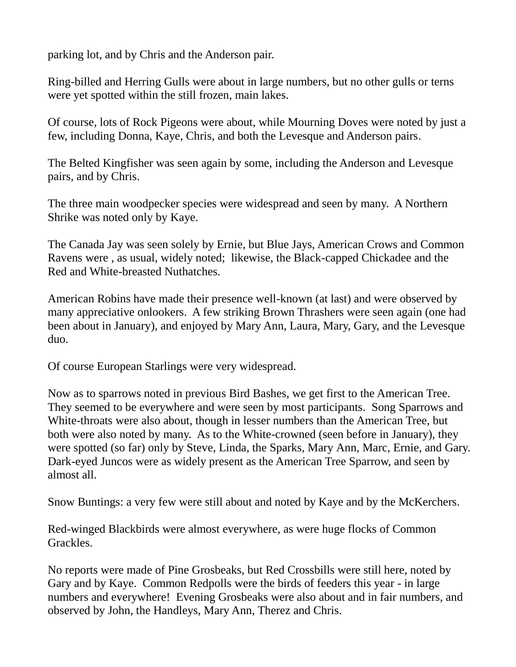parking lot, and by Chris and the Anderson pair.

Ring-billed and Herring Gulls were about in large numbers, but no other gulls or terns were yet spotted within the still frozen, main lakes.

Of course, lots of Rock Pigeons were about, while Mourning Doves were noted by just a few, including Donna, Kaye, Chris, and both the Levesque and Anderson pairs.

The Belted Kingfisher was seen again by some, including the Anderson and Levesque pairs, and by Chris.

The three main woodpecker species were widespread and seen by many. A Northern Shrike was noted only by Kaye.

The Canada Jay was seen solely by Ernie, but Blue Jays, American Crows and Common Ravens were , as usual, widely noted; likewise, the Black-capped Chickadee and the Red and White-breasted Nuthatches.

American Robins have made their presence well-known (at last) and were observed by many appreciative onlookers. A few striking Brown Thrashers were seen again (one had been about in January), and enjoyed by Mary Ann, Laura, Mary, Gary, and the Levesque duo.

Of course European Starlings were very widespread.

Now as to sparrows noted in previous Bird Bashes, we get first to the American Tree. They seemed to be everywhere and were seen by most participants. Song Sparrows and White-throats were also about, though in lesser numbers than the American Tree, but both were also noted by many. As to the White-crowned (seen before in January), they were spotted (so far) only by Steve, Linda, the Sparks, Mary Ann, Marc, Ernie, and Gary. Dark-eyed Juncos were as widely present as the American Tree Sparrow, and seen by almost all.

Snow Buntings: a very few were still about and noted by Kaye and by the McKerchers.

Red-winged Blackbirds were almost everywhere, as were huge flocks of Common Grackles.

No reports were made of Pine Grosbeaks, but Red Crossbills were still here, noted by Gary and by Kaye. Common Redpolls were the birds of feeders this year - in large numbers and everywhere! Evening Grosbeaks were also about and in fair numbers, and observed by John, the Handleys, Mary Ann, Therez and Chris.